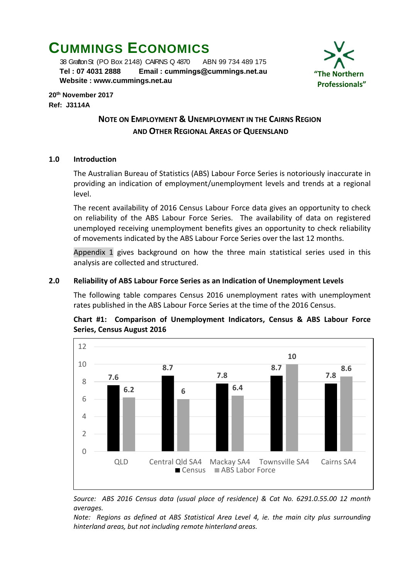# **CUMMINGS ECONOMICS**

 38 Grafton St (PO Box 2148) CAIRNS Q 4870 ABN 99 734 489 175  **Tel : 07 4031 2888 Email : [cummings@cummings.net.au](mailto:cummings@cummings.net.au) Website : www.cummings.net.au**



**20th November 2017 Ref: J3114A**

# **NOTE ON EMPLOYMENT & UNEMPLOYMENT IN THE CAIRNS REGION AND OTHER REGIONAL AREAS OF QUEENSLAND**

# **1.0 Introduction**

The Australian Bureau of Statistics (ABS) Labour Force Series is notoriously inaccurate in providing an indication of employment/unemployment levels and trends at a regional level.

The recent availability of 2016 Census Labour Force data gives an opportunity to check on reliability of the ABS Labour Force Series. The availability of data on registered unemployed receiving unemployment benefits gives an opportunity to check reliability of movements indicated by the ABS Labour Force Series over the last 12 months.

Appendix 1 gives background on how the three main statistical series used in this analysis are collected and structured.

# **2.0 Reliability of ABS Labour Force Series as an Indication of Unemployment Levels**

The following table compares Census 2016 unemployment rates with unemployment rates published in the ABS Labour Force Series at the time of the 2016 Census.



# **Chart #1: Comparison of Unemployment Indicators, Census & ABS Labour Force Series, Census August 2016**

*Source: ABS 2016 Census data (usual place of residence) & Cat No. 6291.0.55.00 12 month averages.*

*Note: Regions as defined at ABS Statistical Area Level 4, ie. the main city plus surrounding hinterland areas, but not including remote hinterland areas.*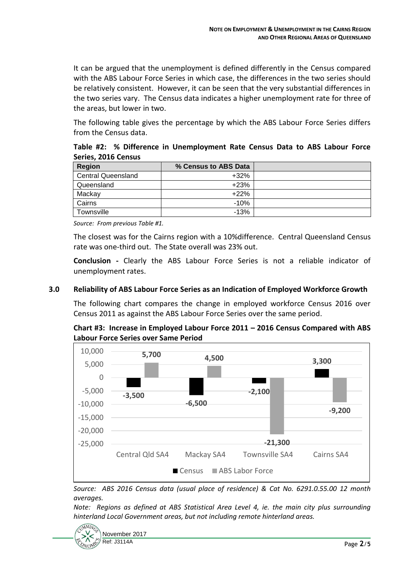It can be argued that the unemployment is defined differently in the Census compared with the ABS Labour Force Series in which case, the differences in the two series should be relatively consistent. However, it can be seen that the very substantial differences in the two series vary. The Census data indicates a higher unemployment rate for three of the areas, but lower in two.

The following table gives the percentage by which the ABS Labour Force Series differs from the Census data.

**Table #2: % Difference in Unemployment Rate Census Data to ABS Labour Force Series, 2016 Census**

| Region                    | % Census to ABS Data |  |
|---------------------------|----------------------|--|
| <b>Central Queensland</b> | $+32%$               |  |
| Queensland                | $+23%$               |  |
| Mackay                    | $+22%$               |  |
| Cairns                    | $-10%$               |  |
| Townsville                | $-13%$               |  |

*Source: From previous Table #1.*

The closest was for the Cairns region with a 10%difference. Central Queensland Census rate was one-third out. The State overall was 23% out.

**Conclusion -** Clearly the ABS Labour Force Series is not a reliable indicator of unemployment rates.

# **3.0 Reliability of ABS Labour Force Series as an Indication of Employed Workforce Growth**

The following chart compares the change in employed workforce Census 2016 over Census 2011 as against the ABS Labour Force Series over the same period.

# **Chart #3: Increase in Employed Labour Force 2011 – 2016 Census Compared with ABS Labour Force Series over Same Period**



*Source: ABS 2016 Census data (usual place of residence) & Cat No. 6291.0.55.00 12 month averages.*

*Note: Regions as defined at ABS Statistical Area Level 4, ie. the main city plus surrounding hinterland Local Government areas, but not including remote hinterland areas.*

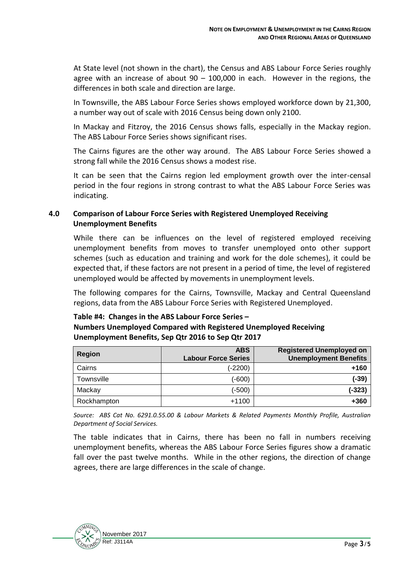At State level (not shown in the chart), the Census and ABS Labour Force Series roughly agree with an increase of about  $90 - 100,000$  in each. However in the regions, the differences in both scale and direction are large.

In Townsville, the ABS Labour Force Series shows employed workforce down by 21,300, a number way out of scale with 2016 Census being down only 2100.

In Mackay and Fitzroy, the 2016 Census shows falls, especially in the Mackay region. The ABS Labour Force Series shows significant rises.

The Cairns figures are the other way around. The ABS Labour Force Series showed a strong fall while the 2016 Census shows a modest rise.

It can be seen that the Cairns region led employment growth over the inter-censal period in the four regions in strong contrast to what the ABS Labour Force Series was indicating.

# **4.0 Comparison of Labour Force Series with Registered Unemployed Receiving Unemployment Benefits**

While there can be influences on the level of registered employed receiving unemployment benefits from moves to transfer unemployed onto other support schemes (such as education and training and work for the dole schemes), it could be expected that, if these factors are not present in a period of time, the level of registered unemployed would be affected by movements in unemployment levels.

The following compares for the Cairns, Townsville, Mackay and Central Queensland regions, data from the ABS Labour Force Series with Registered Unemployed.

#### **Table #4: Changes in the ABS Labour Force Series –**

| <b>Numbers Unemployed Compared with Registered Unemployed Receiving</b> |
|-------------------------------------------------------------------------|
| Unemployment Benefits, Sep Qtr 2016 to Sep Qtr 2017                     |

| <b>Region</b> | <b>ABS</b><br><b>Labour Force Series</b> | <b>Registered Unemployed on</b><br><b>Unemployment Benefits</b> |
|---------------|------------------------------------------|-----------------------------------------------------------------|
| Cairns        | $(-2200)$                                | $+160$                                                          |
| Townsville    | $(-600)$                                 | (-39)                                                           |
| Mackay        | $(-500)$                                 | $(-323)$                                                        |
| Rockhampton   | $+1100$                                  | +360                                                            |

*Source: ABS Cat No. 6291.0.55.00 & Labour Markets & Related Payments Monthly Profile, Australian Department of Social Services.*

The table indicates that in Cairns, there has been no fall in numbers receiving unemployment benefits, whereas the ABS Labour Force Series figures show a dramatic fall over the past twelve months. While in the other regions, the direction of change agrees, there are large differences in the scale of change.

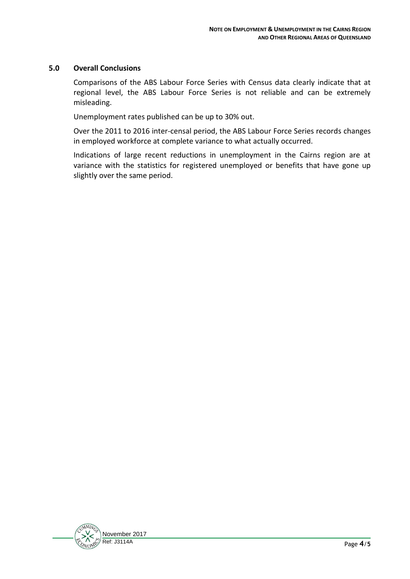# **5.0 Overall Conclusions**

Comparisons of the ABS Labour Force Series with Census data clearly indicate that at regional level, the ABS Labour Force Series is not reliable and can be extremely misleading.

Unemployment rates published can be up to 30% out.

Over the 2011 to 2016 inter-censal period, the ABS Labour Force Series records changes in employed workforce at complete variance to what actually occurred.

Indications of large recent reductions in unemployment in the Cairns region are at variance with the statistics for registered unemployed or benefits that have gone up slightly over the same period.